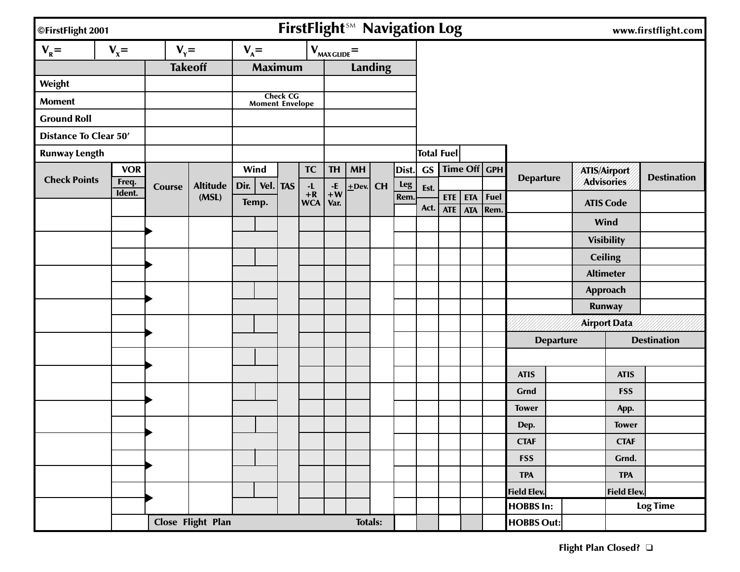| ©FirstFlight 2001            |                 |                |                   |         |                        |                 | FirstFlight <sup>5M</sup> Navigation Log |                    |                |           |            |                   |                          |                          |              |                   |                  |                    | www.firstflight.com |
|------------------------------|-----------------|----------------|-------------------|---------|------------------------|-----------------|------------------------------------------|--------------------|----------------|-----------|------------|-------------------|--------------------------|--------------------------|--------------|-------------------|------------------|--------------------|---------------------|
| $V_R =$                      | $V_x =$         | $V_{\gamma} =$ |                   | $V_A =$ |                        |                 |                                          | $V_{MAX GUIDE} =$  |                |           |            |                   |                          |                          |              |                   |                  |                    |                     |
|                              |                 |                | <b>Takeoff</b>    |         | <b>Maximum</b>         |                 |                                          |                    |                | Landing   |            |                   |                          |                          |              |                   |                  |                    |                     |
| Weight                       |                 |                |                   |         |                        |                 |                                          |                    |                |           |            |                   |                          |                          |              |                   |                  |                    |                     |
| <b>Moment</b>                |                 |                |                   |         | <b>Moment Envelope</b> | <b>Check CG</b> |                                          |                    |                |           |            |                   |                          |                          |              |                   |                  |                    |                     |
| <b>Ground Roll</b>           |                 |                |                   |         |                        |                 |                                          |                    |                |           |            |                   |                          |                          |              |                   |                  |                    |                     |
| <b>Distance To Clear 50'</b> |                 |                |                   |         |                        |                 |                                          |                    |                |           |            |                   |                          |                          |              |                   |                  |                    |                     |
| <b>Runway Length</b>         |                 |                |                   |         |                        |                 |                                          |                    |                |           |            | <b>Total Fuel</b> |                          |                          |              |                   |                  |                    |                     |
|                              | <b>VOR</b>      |                |                   |         | Wind                   |                 | <b>TC</b>                                | <b>TH</b>          | <b>MH</b>      |           | Dist.      | <b>GS</b>         |                          | Time Off $GPH$           |              |                   |                  | ATIS/Airport       |                     |
| <b>Check Points</b>          | Freq.<br>Ident. | <b>Course</b>  | <b>Altitude</b>   | Dir.    | Vel.                   | <b>TAS</b>      | $\cdot \mathsf{L}$                       | $\cdot \mathsf{E}$ | $+$ Dev.       | <b>CH</b> | <b>Leg</b> | Est.              |                          |                          |              | <b>Departure</b>  |                  | <b>Advisories</b>  | <b>Destination</b>  |
|                              |                 |                | (MSL)             |         | Temp.                  |                 | $+{\bf R}$<br><b>WCA</b>                 | $+W$<br>Var.       |                |           | Rem.       | Act.              | <b>ETE</b><br><b>ATE</b> | <b>ETA</b><br><b>ATA</b> | Fuel<br>Rem. |                   |                  | <b>ATIS Code</b>   |                     |
|                              |                 |                |                   |         |                        |                 |                                          |                    |                |           |            |                   |                          |                          |              |                   |                  | Wind               |                     |
|                              |                 |                |                   |         |                        |                 |                                          |                    |                |           |            |                   |                          |                          |              |                   |                  | <b>Visibility</b>  |                     |
|                              |                 |                |                   |         |                        |                 |                                          |                    |                |           |            |                   |                          |                          |              |                   |                  | <b>Ceiling</b>     |                     |
|                              |                 |                |                   |         |                        |                 |                                          |                    |                |           |            |                   |                          |                          |              |                   |                  | <b>Altimeter</b>   |                     |
|                              |                 |                |                   |         |                        |                 |                                          |                    |                |           |            |                   |                          |                          |              |                   |                  | Approach           |                     |
|                              |                 |                |                   |         |                        |                 |                                          |                    |                |           |            |                   |                          |                          |              |                   |                  | Runway             |                     |
|                              |                 |                |                   |         |                        |                 |                                          |                    |                |           |            |                   |                          |                          |              |                   |                  | Airport Data       |                     |
|                              |                 |                |                   |         |                        |                 |                                          |                    |                |           |            |                   |                          |                          |              |                   | <b>Departure</b> |                    | <b>Destination</b>  |
|                              |                 |                |                   |         |                        |                 |                                          |                    |                |           |            |                   |                          |                          |              |                   |                  |                    |                     |
|                              |                 |                |                   |         |                        |                 |                                          |                    |                |           |            |                   |                          |                          |              | <b>ATIS</b>       |                  | <b>ATIS</b>        |                     |
|                              |                 |                |                   |         |                        |                 |                                          |                    |                |           |            |                   |                          |                          |              | Grnd              |                  | <b>FSS</b>         |                     |
|                              |                 |                |                   |         |                        |                 |                                          |                    |                |           |            |                   |                          |                          |              | <b>Tower</b>      |                  | App.               |                     |
|                              |                 |                |                   |         |                        |                 |                                          |                    |                |           |            |                   |                          |                          |              | Dep.              |                  | <b>Tower</b>       |                     |
|                              |                 |                |                   |         |                        |                 |                                          |                    |                |           |            |                   |                          |                          |              | <b>CTAF</b>       |                  | <b>CTAF</b>        |                     |
|                              |                 |                |                   |         |                        |                 |                                          |                    |                |           |            |                   |                          |                          |              | <b>FSS</b>        |                  | Grnd.              |                     |
|                              |                 |                |                   |         |                        |                 |                                          |                    |                |           |            |                   |                          |                          |              | <b>TPA</b>        |                  | <b>TPA</b>         |                     |
|                              |                 |                |                   |         |                        |                 |                                          |                    |                |           |            |                   |                          |                          |              | Field Elev.       |                  | <b>Field Elev.</b> |                     |
|                              |                 |                |                   |         |                        |                 |                                          |                    |                |           |            |                   |                          |                          |              | <b>HOBBS In:</b>  |                  |                    | <b>Log Time</b>     |
|                              |                 |                | Close Flight Plan |         |                        |                 |                                          |                    | <b>Totals:</b> |           |            |                   |                          |                          |              | <b>HOBBS Out:</b> |                  |                    |                     |